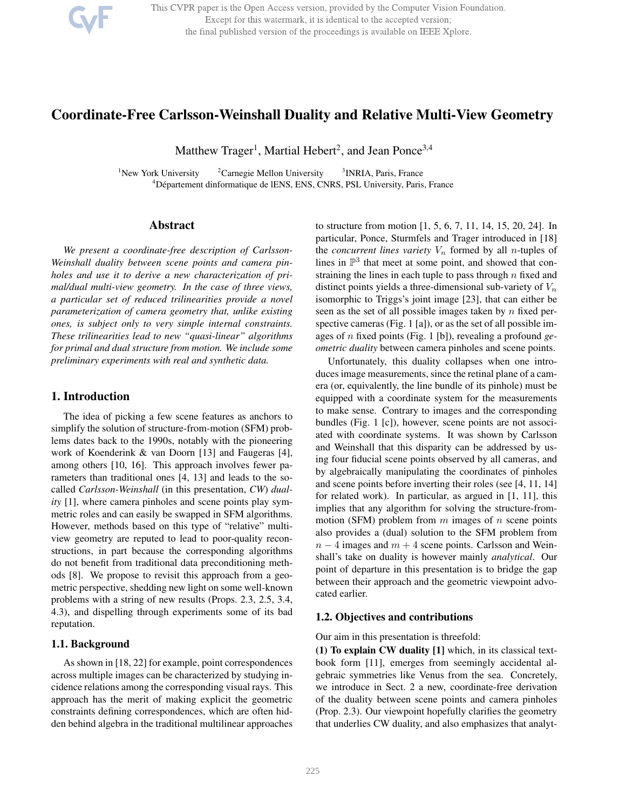

This CVPR paper is the Open Access version, provided by the Computer Vision Foundation. Except for this watermark, it is identical to the accepted version; the final published version of the proceedings is available on IEEE Xplore.

# Coordinate-Free Carlsson-Weinshall Duality and Relative Multi-View Geometry

Matthew Trager<sup>1</sup>, Martial Hebert<sup>2</sup>, and Jean Ponce<sup>3,4</sup>

<sup>1</sup>New York University  $2^2$ Carnegie Mellon University <sup>3</sup> INRIA, Paris, France <sup>4</sup>Département dinformatique de lENS, ENS, CNRS, PSL University, Paris, France

## Abstract

*We present a coordinate-free description of Carlsson-Weinshall duality between scene points and camera pinholes and use it to derive a new characterization of primal/dual multi-view geometry. In the case of three views, a particular set of reduced trilinearities provide a novel parameterization of camera geometry that, unlike existing ones, is subject only to very simple internal constraints. These trilinearities lead to new "quasi-linear" algorithms for primal and dual structure from motion. We include some preliminary experiments with real and synthetic data.*

### 1. Introduction

The idea of picking a few scene features as anchors to simplify the solution of structure-from-motion (SFM) problems dates back to the 1990s, notably with the pioneering work of Koenderink & van Doorn [13] and Faugeras [4], among others [10, 16]. This approach involves fewer parameters than traditional ones [4, 13] and leads to the socalled *Carlsson-Weinshall* (in this presentation, *CW*) *duality* [1], where camera pinholes and scene points play symmetric roles and can easily be swapped in SFM algorithms. However, methods based on this type of "relative" multiview geometry are reputed to lead to poor-quality reconstructions, in part because the corresponding algorithms do not benefit from traditional data preconditioning methods [8]. We propose to revisit this approach from a geometric perspective, shedding new light on some well-known problems with a string of new results (Props. 2.3, 2.5, 3.4, 4.3), and dispelling through experiments some of its bad reputation.

### 1.1. Background

As shown in [18, 22] for example, point correspondences across multiple images can be characterized by studying incidence relations among the corresponding visual rays. This approach has the merit of making explicit the geometric constraints defining correspondences, which are often hidden behind algebra in the traditional multilinear approaches to structure from motion [1, 5, 6, 7, 11, 14, 15, 20, 24]. In particular, Ponce, Sturmfels and Trager introduced in [18] the *concurrent lines variety*  $V_n$  formed by all *n*-tuples of lines in  $\mathbb{P}^3$  that meet at some point, and showed that constraining the lines in each tuple to pass through  $n$  fixed and distinct points yields a three-dimensional sub-variety of  $V_n$ isomorphic to Triggs's joint image [23], that can either be seen as the set of all possible images taken by  $n$  fixed perspective cameras (Fig. 1 [a]), or as the set of all possible images of n fixed points (Fig. 1 [b]), revealing a profound *geometric duality* between camera pinholes and scene points.

Unfortunately, this duality collapses when one introduces image measurements, since the retinal plane of a camera (or, equivalently, the line bundle of its pinhole) must be equipped with a coordinate system for the measurements to make sense. Contrary to images and the corresponding bundles (Fig. 1 [c]), however, scene points are not associated with coordinate systems. It was shown by Carlsson and Weinshall that this disparity can be addressed by using four fiducial scene points observed by all cameras, and by algebraically manipulating the coordinates of pinholes and scene points before inverting their roles (see [4, 11, 14] for related work). In particular, as argued in [1, 11], this implies that any algorithm for solving the structure-frommotion (SFM) problem from  $m$  images of  $n$  scene points also provides a (dual) solution to the SFM problem from  $n-4$  images and  $m+4$  scene points. Carlsson and Weinshall's take on duality is however mainly *analytical*. Our point of departure in this presentation is to bridge the gap between their approach and the geometric viewpoint advocated earlier.

## 1.2. Objectives and contributions

Our aim in this presentation is threefold:

(1) To explain CW duality [1] which, in its classical textbook form [11], emerges from seemingly accidental algebraic symmetries like Venus from the sea. Concretely, we introduce in Sect. 2 a new, coordinate-free derivation of the duality between scene points and camera pinholes (Prop. 2.3). Our viewpoint hopefully clarifies the geometry that underlies CW duality, and also emphasizes that analyt-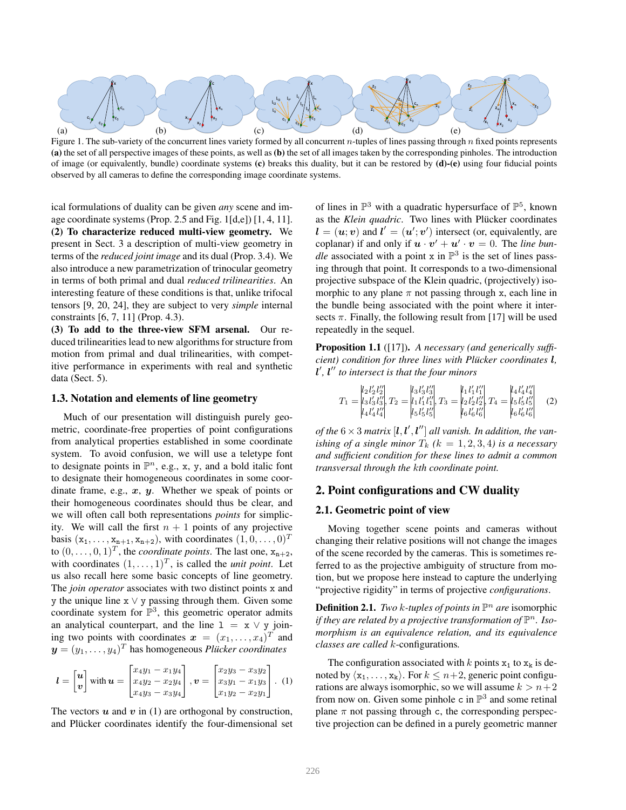

Figure 1. The sub-variety of the concurrent lines variety formed by all concurrent n-tuples of lines passing through  $n$  fixed points represents (a) the set of all perspective images of these points, as well as (b) the set of all images taken by the corresponding pinholes. The introduction of image (or equivalently, bundle) coordinate systems (c) breaks this duality, but it can be restored by (d)-(e) using four fiducial points observed by all cameras to define the corresponding image coordinate systems.

ical formulations of duality can be given *any* scene and image coordinate systems (Prop. 2.5 and Fig. 1[d,e]) [1, 4, 11]. (2) To characterize reduced multi-view geometry. We present in Sect. 3 a description of multi-view geometry in terms of the *reduced joint image* and its dual (Prop. 3.4). We also introduce a new parametrization of trinocular geometry in terms of both primal and dual *reduced trilinearities*. An interesting feature of these conditions is that, unlike trifocal tensors [9, 20, 24], they are subject to very *simple* internal constraints [6, 7, 11] (Prop. 4.3).

(3) To add to the three-view SFM arsenal. Our reduced trilinearities lead to new algorithms for structure from motion from primal and dual trilinearities, with competitive performance in experiments with real and synthetic data (Sect. 5).

#### 1.3. Notation and elements of line geometry

Much of our presentation will distinguish purely geometric, coordinate-free properties of point configurations from analytical properties established in some coordinate system. To avoid confusion, we will use a teletype font to designate points in  $\mathbb{P}^n$ , e.g., x, y, and a bold italic font to designate their homogeneous coordinates in some coordinate frame, e.g.,  $x$ ,  $y$ . Whether we speak of points or their homogeneous coordinates should thus be clear, and we will often call both representations *points* for simplicity. We will call the first  $n + 1$  points of any projective basis  $(x_1, ..., x_{n+1}, x_{n+2})$ , with coordinates  $(1, 0, ..., 0)^T$ to  $(0, \ldots, 0, 1)^T$ , the *coordinate points*. The last one,  $x_{n+2}$ , with coordinates  $(1, \ldots, 1)^T$ , is called the *unit point*. Let us also recall here some basic concepts of line geometry. The *join operator* associates with two distinct points x and y the unique line x ∨ y passing through them. Given some coordinate system for  $\mathbb{P}^3$ , this geometric operator admits an analytical counterpart, and the line  $1 = x \vee y$  joining two points with coordinates  $\mathbf{x} = (x_1, \dots, x_4)^T$  and  $\boldsymbol{y} = (y_1, \dots, y_4)^T$  has homogeneous *Plücker coordinates* 

$$
l = \begin{bmatrix} u \\ v \end{bmatrix} \text{ with } u = \begin{bmatrix} x_4y_1 - x_1y_4 \\ x_4y_2 - x_2y_4 \\ x_4y_3 - x_3y_4 \end{bmatrix}, v = \begin{bmatrix} x_2y_3 - x_3y_2 \\ x_3y_1 - x_1y_3 \\ x_1y_2 - x_2y_1 \end{bmatrix}. \tag{1}
$$

The vectors  $u$  and  $v$  in (1) are orthogonal by construction, and Plücker coordinates identify the four-dimensional set

of lines in  $\mathbb{P}^3$  with a quadratic hypersurface of  $\mathbb{P}^5$ , known as the *Klein quadric*. Two lines with Plücker coordinates  $\mathbf{l} = (\mathbf{u}; \mathbf{v})$  and  $\mathbf{l}' = (\mathbf{u}'; \mathbf{v}')$  intersect (or, equivalently, are coplanar) if and only if  $\mathbf{u} \cdot \mathbf{v}' + \mathbf{u}' \cdot \mathbf{v} = 0$ . The *line bundle* associated with a point x in  $\mathbb{P}^3$  is the set of lines passing through that point. It corresponds to a two-dimensional projective subspace of the Klein quadric, (projectively) isomorphic to any plane  $\pi$  not passing through x, each line in the bundle being associated with the point where it intersects  $\pi$ . Finally, the following result from [17] will be used repeatedly in the sequel.

Proposition 1.1 ([17]). *A necessary (and generically sufficient)* condition for three lines with Plücker coordinates **l**, l ′ *,* l ′′ *to intersect is that the four minors*

$$
T_1 = \begin{vmatrix} l_2 l_2' l_2'' \\ l_3 l_3' l_3'' \\ l_4 l_4' l_4'' \end{vmatrix}, T_2 = \begin{vmatrix} l_3 l_3' l_3'' \\ l_1 l_1' l_1'' \\ l_5 l_5' l_5'' \end{vmatrix}, T_3 = \begin{vmatrix} l_1 l_1' l_1'' \\ l_2 l_2' l_2'' \\ l_6 l_6' l_6'' \end{vmatrix}, T_4 = \begin{vmatrix} l_4 l_4' l_4'' \\ l_5 l_5' l_5'' \\ l_6 l_6' l_6'' \end{vmatrix} \tag{2}
$$

of the  $6 \times 3$  matrix  $[\bm{l}, \bm{l}', \bm{l}'']$  all vanish. In addition, the van*ishing of a single minor*  $T_k$  ( $k = 1, 2, 3, 4$ ) *is a necessary and sufficient condition for these lines to admit a common transversal through the* k*th coordinate point.*

#### 2. Point configurations and CW duality

#### 2.1. Geometric point of view

Moving together scene points and cameras without changing their relative positions will not change the images of the scene recorded by the cameras. This is sometimes referred to as the projective ambiguity of structure from motion, but we propose here instead to capture the underlying "projective rigidity" in terms of projective *configurations*.

**Definition 2.1.** *Two k-tuples of points in*  $\mathbb{P}^n$  *are* isomorphic *if they are related by a projective transformation of*  $\mathbb{P}^n$ *. Isomorphism is an equivalence relation, and its equivalence classes are called* k-configurations*.*

The configuration associated with k points  $x_1$  to  $x_k$  is denoted by  $\langle x_1, \ldots, x_k \rangle$ . For  $k \leq n+2$ , generic point configurations are always isomorphic, so we will assume  $k > n+2$ from now on. Given some pinhole c in  $\mathbb{P}^3$  and some retinal plane  $\pi$  not passing through c, the corresponding perspective projection can be defined in a purely geometric manner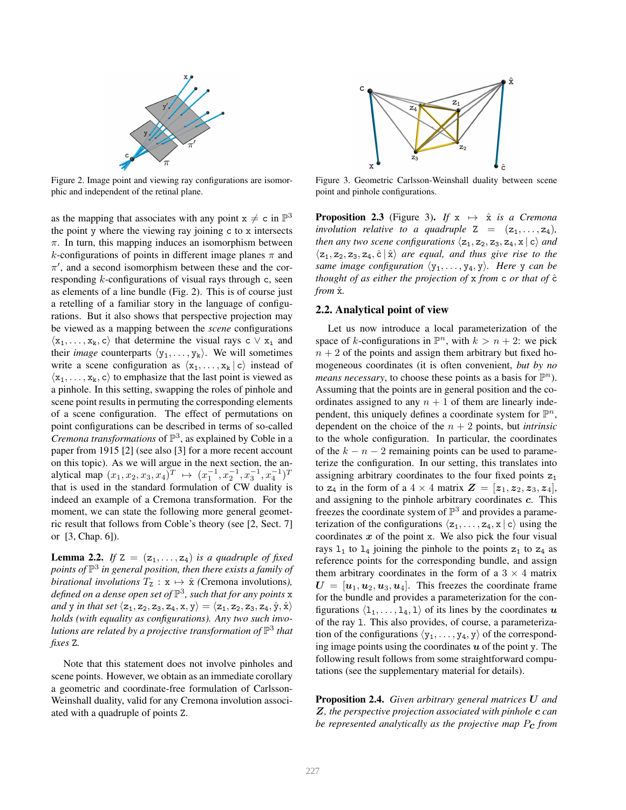

Figure 2. Image point and viewing ray configurations are isomorphic and independent of the retinal plane.

as the mapping that associates with any point  $x \neq c$  in  $\mathbb{P}^3$ the point y where the viewing ray joining c to x intersects  $\pi$ . In turn, this mapping induces an isomorphism between k-configurations of points in different image planes  $\pi$  and  $\pi'$ , and a second isomorphism between these and the corresponding  $k$ -configurations of visual rays through c, seen as elements of a line bundle (Fig. 2). This is of course just a retelling of a familiar story in the language of configurations. But it also shows that perspective projection may be viewed as a mapping between the *scene* configurations  $\langle x_1, \ldots, x_k, c \rangle$  that determine the visual rays c  $\vee x_i$  and their *image* counterparts  $\langle y_1, \ldots, y_k \rangle$ . We will sometimes write a scene configuration as  $\langle x_1, \ldots, x_k | c \rangle$  instead of  $\langle x_1, \ldots, x_k, c \rangle$  to emphasize that the last point is viewed as a pinhole. In this setting, swapping the roles of pinhole and scene point results in permuting the corresponding elements of a scene configuration. The effect of permutations on point configurations can be described in terms of so-called *Cremona transformations* of  $\mathbb{P}^3$ , as explained by Coble in a paper from 1915 [2] (see also [3] for a more recent account on this topic). As we will argue in the next section, the analytical map  $(x_1, x_2, x_3, x_4)^T \rightarrow (x_1^{-1}, x_2^{-1}, x_3^{-1}, x_4^{-1})^T$ that is used in the standard formulation of CW duality is indeed an example of a Cremona transformation. For the moment, we can state the following more general geometric result that follows from Coble's theory (see [2, Sect. 7] or [3, Chap. 6]).

**Lemma 2.2.** *If* Z =  $(z_1, \ldots, z_4)$  *is a quadruple of fixed points of* P 3 *in general position, then there exists a family of birational involutions*  $T_z : \mathbf{x} \mapsto \hat{\mathbf{x}}$  *(Cremona involutions), defined on a dense open set of* P 3 *, such that for any points* x *and* y *in that set*  $\langle z_1, z_2, z_3, z_4, x, y \rangle = \langle z_1, z_2, z_3, z_4, \hat{y}, \hat{x} \rangle$ *holds (with equality as configurations). Any two such involutions are related by a projective transformation of* P 3 *that fixes* Z*.*

Note that this statement does not involve pinholes and scene points. However, we obtain as an immediate corollary a geometric and coordinate-free formulation of Carlsson-Weinshall duality, valid for any Cremona involution associated with a quadruple of points Z.



Figure 3. Geometric Carlsson-Weinshall duality between scene point and pinhole configurations.

**Proposition 2.3** (Figure 3). *If*  $x \mapsto \hat{x}$  *is a Cremona involution relative to a quadruple*  $Z = (z_1, \ldots, z_4)$ *, then any two scene configurations*  $\langle z_1, z_2, z_3, z_4, x | c \rangle$  *and*  $\langle z_1, z_2, z_3, z_4, \hat{c} | \hat{x} \rangle$  *are equal, and thus give rise to the same image configuration*  $\langle y_1, \ldots, y_4, y \rangle$ *. Here* y *can be thought of as either the projection of* x *from* c *or that of*  $\hat{c}$ *from*  $\hat{x}$ *.* 

#### 2.2. Analytical point of view

Let us now introduce a local parameterization of the space of k-configurations in  $\mathbb{P}^n$ , with  $k > n + 2$ : we pick  $n + 2$  of the points and assign them arbitrary but fixed homogeneous coordinates (it is often convenient, *but by no means necessary*, to choose these points as a basis for  $\mathbb{P}^n$ ). Assuming that the points are in general position and the coordinates assigned to any  $n + 1$  of them are linearly independent, this uniquely defines a coordinate system for  $\mathbb{P}^n$ , dependent on the choice of the  $n + 2$  points, but *intrinsic* to the whole configuration. In particular, the coordinates of the  $k - n - 2$  remaining points can be used to parameterize the configuration. In our setting, this translates into assigning arbitrary coordinates to the four fixed points  $z_1$ to  $z_4$  in the form of a  $4 \times 4$  matrix  $\mathbf{Z} = [\mathbf{z}_1, \mathbf{z}_2, \mathbf{z}_3, \mathbf{z}_4]$ , and assigning to the pinhole arbitrary coordinates c. This freezes the coordinate system of  $\mathbb{P}^3$  and provides a parameterization of the configurations  $\langle z_1, \ldots, z_4, x | c \rangle$  using the coordinates  $x$  of the point x. We also pick the four visual rays  $1_1$  to  $1_4$  joining the pinhole to the points  $z_1$  to  $z_4$  as reference points for the corresponding bundle, and assign them arbitrary coordinates in the form of a  $3 \times 4$  matrix  $U = [\boldsymbol{u}_1, \boldsymbol{u}_2, \boldsymbol{u}_3, \boldsymbol{u}_4]$ . This freezes the coordinate frame for the bundle and provides a parameterization for the configurations  $\langle 1_1, \ldots, 1_4, 1 \rangle$  of its lines by the coordinates u of the ray l. This also provides, of course, a parameterization of the configurations  $\langle y_1, \ldots, y_4, y \rangle$  of the corresponding image points using the coordinates  $u$  of the point y. The following result follows from some straightforward computations (see the supplementary material for details).

Proposition 2.4. *Given arbitrary general matrices* U *and* Z*, the perspective projection associated with pinhole* c *can be represented analytically as the projective map* Pc *from*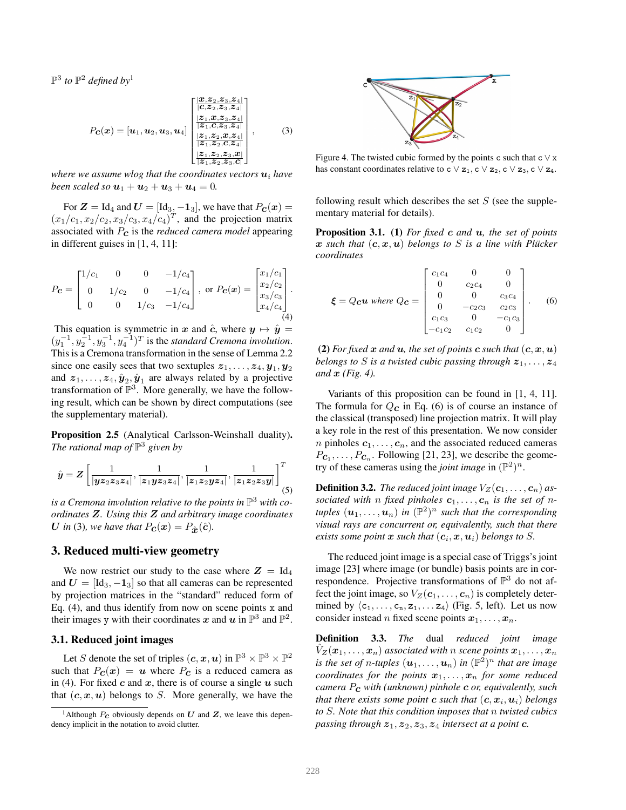$\mathbb{P}^3$  to  $\mathbb{P}^2$  defined by<sup>1</sup>

$$
P_{\mathbf{C}}(\mathbf{x}) = [\mathbf{u}_1, \mathbf{u}_2, \mathbf{u}_3, \mathbf{u}_4] \begin{bmatrix} \frac{|\mathbf{x}, \mathbf{z}_2, \mathbf{z}_3, \mathbf{z}_4|}{|\mathbf{C}, \mathbf{z}_2, \mathbf{z}_3, \mathbf{z}_4|} \\ \frac{|\mathbf{z}_1, \mathbf{x}, \mathbf{z}_3, \mathbf{z}_4|}{|\mathbf{z}_1, \mathbf{C}, \mathbf{z}_3, \mathbf{z}_4|} \\ \frac{|\mathbf{z}_1, \mathbf{z}_2, \mathbf{C}, \mathbf{z}_4|}{|\mathbf{z}_1, \mathbf{z}_2, \mathbf{C}, \mathbf{z}_4|} \\ \frac{|\mathbf{z}_1, \mathbf{z}_2, \mathbf{z}_3, \mathbf{z}_4|}{|\mathbf{z}_1, \mathbf{z}_2, \mathbf{z}_3, \mathbf{C}|} \end{bmatrix},
$$
(3)

*where we assume wlog that the coordinates vectors*  $\mathbf{u}_i$  *have been scaled so*  $u_1 + u_2 + u_3 + u_4 = 0$ *.* 

For  $\mathbf{Z} = \text{Id}_4$  and  $\mathbf{U} = [\text{Id}_3, -\mathbf{1}_3]$ , we have that  $P_{\mathbf{C}}(\mathbf{x}) =$  $(x_1/c_1, x_2/c_2, x_3/c_3, x_4/c_4)^T$ , and the projection matrix associated with Pc is the *reduced camera model* appearing in different guises in [1, 4, 11]:

$$
P_{\mathbf{C}} = \begin{bmatrix} 1/c_1 & 0 & 0 & -1/c_4 \\ 0 & 1/c_2 & 0 & -1/c_4 \\ 0 & 0 & 1/c_3 & -1/c_4 \end{bmatrix}, \text{ or } P_{\mathbf{C}}(\mathbf{x}) = \begin{bmatrix} x_1/c_1 \\ x_2/c_2 \\ x_3/c_3 \\ x_4/c_4 \end{bmatrix}.
$$

This equation is symmetric in x and  $\hat{c}$ , where  $y \mapsto \hat{y} =$  $(y_1^{-1}, y_2^{-1}, y_3^{-1}, y_4^{-1})^T$  is the *standard Cremona involution*. This is a Cremona transformation in the sense of Lemma 2.2 since one easily sees that two sextuples  $z_1, \ldots, z_4, y_1, y_2$ and  $z_1, \ldots, z_4, \hat{y}_2, \hat{y}_1$  are always related by a projective transformation of  $\mathbb{P}^3$ . More generally, we have the following result, which can be shown by direct computations (see the supplementary material).

Proposition 2.5 (Analytical Carlsson-Weinshall duality). *The rational map of*  $\mathbb{P}^3$  given by

$$
\hat{\bm{y}} = \bm{Z} \left[ \frac{1}{|\bm{y} \bm{z}_2 \bm{z}_3 \bm{z}_4|}, \frac{1}{|\bm{z}_1 \bm{y} \bm{z}_3 \bm{z}_4|}, \frac{1}{|\bm{z}_1 \bm{z}_2 \bm{y} \bm{z}_4|}, \frac{1}{|\bm{z}_1 \bm{z}_2 \bm{z}_3 \bm{y}|} \right]^T_{(5)}
$$

is a Cremona involution relative to the points in  $\mathbb{P}^3$  with co*ordinates* Z*. Using this* Z *and arbitrary image coordinates* U in (3), we have that  $P_{\mathbf{C}}(\mathbf{x}) = P_{\hat{\mathbf{x}}}(\hat{\mathbf{c}})$ .

## 3. Reduced multi-view geometry

We now restrict our study to the case where  $Z = \mathrm{Id}_4$ and  $U = [Id_3, -1_3]$  so that all cameras can be represented by projection matrices in the "standard" reduced form of Eq.  $(4)$ , and thus identify from now on scene points x and their images y with their coordinates x and u in  $\mathbb{P}^3$  and  $\mathbb{P}^2$ .

### 3.1. Reduced joint images

Let S denote the set of triples  $(c, x, u)$  in  $\mathbb{P}^3 \times \mathbb{P}^3 \times \mathbb{P}^2$ such that  $P_c(x) = u$  where  $P_c$  is a reduced camera as in (4). For fixed c and x, there is of course a single  $u$  such that  $(c, x, u)$  belongs to S. More generally, we have the



Figure 4. The twisted cubic formed by the points c such that  $c \vee x$ has constant coordinates relative to c  $\vee$  z<sub>1</sub>, c  $\vee$  z<sub>2</sub>, c  $\vee$  z<sub>3</sub>, c  $\vee$  z<sub>4</sub>.

following result which describes the set  $S$  (see the supplementary material for details).

Proposition 3.1. (1) *For fixed* c *and* u*, the set of points* x such that  $(c, x, u)$  belongs to S is a line with Plücker *coordinates*

$$
\boldsymbol{\xi} = Q_{\mathbf{c}} \boldsymbol{u} \text{ where } Q_{\mathbf{c}} = \begin{bmatrix} c_1 c_4 & 0 & 0 \\ 0 & c_2 c_4 & 0 \\ 0 & 0 & c_3 c_4 \\ 0 & -c_2 c_3 & c_2 c_3 \\ c_1 c_3 & 0 & -c_1 c_3 \\ -c_1 c_2 & c_1 c_2 & 0 \end{bmatrix}. \tag{6}
$$

(2) *For fixed*  $x$  *and*  $u$ *, the set of points*  $c$  *such that*  $(c, x, u)$ *belongs to* S *is a twisted cubic passing through*  $z_1, \ldots, z_4$ *and* x *(Fig. 4).*

Variants of this proposition can be found in [1, 4, 11]. The formula for  $Q_{\mathbf{C}}$  in Eq. (6) is of course an instance of the classical (transposed) line projection matrix. It will play a key role in the rest of this presentation. We now consider *n* pinholes  $c_1, \ldots, c_n$ , and the associated reduced cameras  $P_{\mathbf{C}_1}, \ldots, P_{\mathbf{C}_n}$ . Following [21, 23], we describe the geometry of these cameras using the *joint image* in  $(\mathbb{P}^2)^n$ .

**Definition 3.2.** *The reduced joint image*  $V_Z(c_1, \ldots, c_n)$  *as*sociated with *n* fixed pinholes  $c_1, \ldots, c_n$  is the set of *n*tuples  $(\boldsymbol{u}_1, \dots, \boldsymbol{u}_n)$  in  $(\mathbb{P}^2)^n$  such that the corresponding *visual rays are concurrent or, equivalently, such that there exists some point*  $\boldsymbol{x}$  *such that*  $(c_i, \boldsymbol{x}, \boldsymbol{u}_i)$  *belongs to S.* 

The reduced joint image is a special case of Triggs's joint image [23] where image (or bundle) basis points are in correspondence. Projective transformations of  $\mathbb{P}^3$  do not affect the joint image, so  $V_Z(c_1, \ldots, c_n)$  is completely determined by  $\langle c_1, \ldots, c_n, z_1, \ldots, z_4 \rangle$  (Fig. 5, left). Let us now consider instead *n* fixed scene points  $x_1, \ldots, x_n$ .

Definition 3.3. *The* dual *reduced joint image*  $V_Z(\boldsymbol{x}_1,\ldots,\boldsymbol{x}_n)$  *associated with n scene points*  $\boldsymbol{x}_1,\ldots,\boldsymbol{x}_n$ is the set of n-tuples  $(\boldsymbol{u}_1, \dots, \boldsymbol{u}_n)$  in  $(\mathbb{P}^2)^n$  that are image *coordinates for the points*  $x_1, \ldots, x_n$  *for some reduced camera* Pc *with (unknown) pinhole* c *or, equivalently, such* that there exists some point  $\boldsymbol{c}$  such that  $(\boldsymbol{c},\boldsymbol{x}_i,\boldsymbol{u}_i)$  belongs *to* S*. Note that this condition imposes that* n *twisted cubics passing through*  $z_1, z_2, z_3, z_4$  *intersect at a point c.* 

<sup>&</sup>lt;sup>1</sup>Although  $P_c$  obviously depends on  $U$  and  $Z$ , we leave this dependency implicit in the notation to avoid clutter.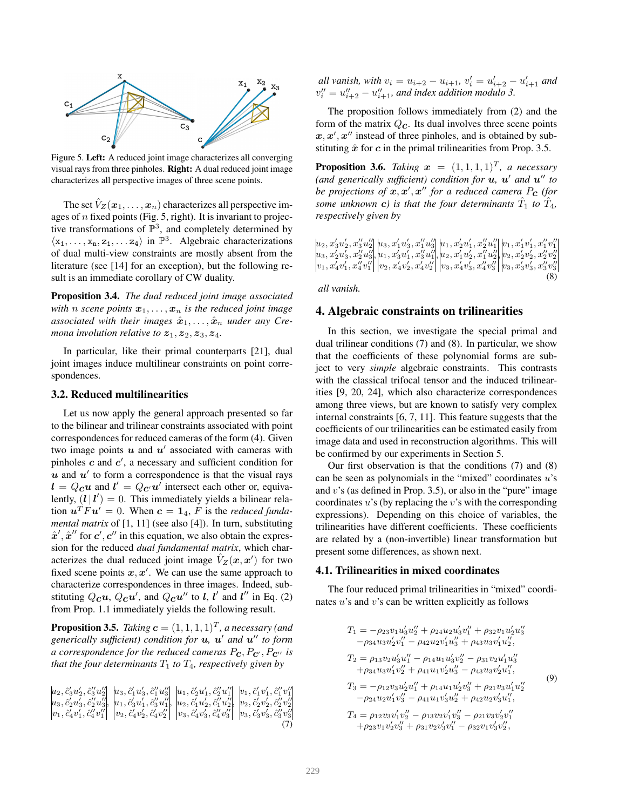

Figure 5. Left: A reduced joint image characterizes all converging visual rays from three pinholes. Right: A dual reduced joint image characterizes all perspective images of three scene points.

The set  $V_Z(\mathbf{x}_1, \ldots, \mathbf{x}_n)$  characterizes all perspective images of  $n$  fixed points (Fig. 5, right). It is invariant to projective transformations of  $\mathbb{P}^3$ , and completely determined by  $\langle x_1, \ldots, x_n, z_1, \ldots z_4 \rangle$  in  $\mathbb{P}^3$ . Algebraic characterizations of dual multi-view constraints are mostly absent from the literature (see [14] for an exception), but the following result is an immediate corollary of CW duality.

Proposition 3.4. *The dual reduced joint image associated with n scene points*  $x_1, \ldots, x_n$  *is the reduced joint image* associated with their images  $\hat{x}_1, \ldots, \hat{x}_n$  under any Cre*mona involution relative to*  $z_1$ ,  $z_2$ ,  $z_3$ ,  $z_4$ .

In particular, like their primal counterparts [21], dual joint images induce multilinear constraints on point correspondences.

### 3.2. Reduced multilinearities

Let us now apply the general approach presented so far to the bilinear and trilinear constraints associated with point correspondences for reduced cameras of the form (4). Given two image points  $u$  and  $u'$  associated with cameras with pinholes  $c$  and  $c'$ , a necessary and sufficient condition for  $u$  and  $u'$  to form a correspondence is that the visual rays  $l = Q_{\mathbf{C}} u$  and  $l' = Q_{\mathbf{C'}} u'$  intersect each other or, equivalently,  $(l | l') = 0$ . This immediately yields a bilinear relation  $\mathbf{u}^T F \mathbf{u}' = 0$ . When  $\mathbf{c} = \mathbf{1}_4$ , F is the *reduced fundamental matrix* of [1, 11] (see also [4]). In turn, substituting  $\hat{x}', \hat{x}''$  for  $\mathbf{c}', \mathbf{c}''$  in this equation, we also obtain the expression for the reduced *dual fundamental matrix*, which characterizes the dual reduced joint image  $\hat{V}_Z(\boldsymbol{x}, \boldsymbol{x}')$  for two fixed scene points  $x, x'$ . We can use the same approach to characterize correspondences in three images. Indeed, substituting  $Q_{\mathcal{C}}\mathcal{u}$ ,  $Q_{\mathcal{C}}\mathcal{u}'$ , and  $Q_{\mathcal{C}}\mathcal{u}''$  to  $l$ ,  $l'$  and  $l''$  in Eq. (2) from Prop. 1.1 immediately yields the following result.

**Proposition 3.5.** Taking  $\mathbf{c} = (1, 1, 1, 1)^T$ , a necessary (and *generically sufficient) condition for* u*,* u ′ *and* u ′′ *to form a correspondence for the reduced cameras*  $P_c$ ,  $P_c$ ,  $P_c$ <sup>*, is*</sup> *that the four determinants*  $T_1$  *to*  $T_4$ *, respectively given by* 

|  | $\begin{array}{l} [u_2,\hat{c}'_3u'_2,\hat{c}''_3u''_2] \quad [u_3,\hat{c}'_1u'_3,\hat{c}''_1u''_3] \quad [u_1,\hat{c}'_2u'_1,\hat{c}''_2u''_1] \quad [v_1,\hat{c}'_1v'_1,\hat{c}''_1v''_1] \\ [u_3,\hat{c}'_2u'_3,\hat{c}''_2u''_3] , \quad [u_1,\hat{c}'_3u'_1,\hat{c}''_3u''_1] , \quad [u_2,\hat{c}'_1u'_2,\hat{c}''_1u''_2] , \quad [v_2,\hat{c$ |    |
|--|-------------------------------------------------------------------------------------------------------------------------------------------------------------------------------------------------------------------------------------------------------------------------------------------------------------------------------------------------------|----|
|  |                                                                                                                                                                                                                                                                                                                                                       |    |
|  |                                                                                                                                                                                                                                                                                                                                                       |    |
|  |                                                                                                                                                                                                                                                                                                                                                       | 7) |

*all vanish, with*  $v_i = u_{i+2} - u_{i+1}$ ,  $v'_i = u'_{i+2} - u'_{i+1}$  and  $v''_i = u''_{i+2} - u''_{i+1}$ , and index addition modulo 3.

The proposition follows immediately from (2) and the form of the matrix  $Q_c$ . Its dual involves three scene points  $x, x', x''$  instead of three pinholes, and is obtained by substituting  $\hat{x}$  for c in the primal trilinearities from Prop. 3.5.

**Proposition 3.6.** Taking  $x = (1, 1, 1, 1)^T$ , a necessary *(and generically sufficient) condition for* u*,* u ′ *and* u ′′ *to be projections of*  $x, x', x''$  *for a reduced camera<sub>.</sub> P<sub>C</sub> (for* some unknown **c**) is that the four determinants  $\hat{T}_1$  to  $\hat{T}_4$ , *respectively given by*

$$
u_2, x_3'u_2', x_3''u_2'' | u_3, x_1'u_3', x_1''u_3'' | u_1, x_2'u_1', x_2''u_1'' | v_1, x_1'v_1', x_1''v_1'' u_3, x_2'u_3', x_2''u_3'' | u_1, x_3'u_1', x_3''u_1'' | u_2, x_1'u_2', x_1''u_2'', u_2''| v_2, x_2'v_2', x_2''v_2'' v_1, x_4'v_1', x_4''v_1'' | v_2, x_4'v_2', x_4'v_2'' | v_3, x_4'v_3', x_4''v_3'' | v_3, x_3'v_3', x_3''v_3''
$$
\n
$$
(8)
$$

*all vanish.*

#### 4. Algebraic constraints on trilinearities

In this section, we investigate the special primal and dual trilinear conditions (7) and (8). In particular, we show that the coefficients of these polynomial forms are subject to very *simple* algebraic constraints. This contrasts with the classical trifocal tensor and the induced trilinearities [9, 20, 24], which also characterize correspondences among three views, but are known to satisfy very complex internal constraints [6, 7, 11]. This feature suggests that the coefficients of our trilinearities can be estimated easily from image data and used in reconstruction algorithms. This will be confirmed by our experiments in Section 5.

Our first observation is that the conditions (7) and (8) can be seen as polynomials in the "mixed" coordinates  $u$ 's and  $v$ 's (as defined in Prop. 3.5), or also in the "pure" image coordinates  $u$ 's (by replacing the  $v$ 's with the corresponding expressions). Depending on this choice of variables, the trilinearities have different coefficients. These coefficients are related by a (non-invertible) linear transformation but present some differences, as shown next.

#### 4.1. Trilinearities in mixed coordinates

The four reduced primal trilinearities in "mixed" coordinates  $u$ 's and  $v$ 's can be written explicitly as follows

$$
T_1 = -\rho_{23}v_1u_3'u_2'' + \rho_{24}u_2u_3'v_1'' + \rho_{32}v_1u_2'u_3''
$$
  
\n
$$
-\rho_{34}u_3u_2'v_1'' - \rho_{42}u_2v_1'u_3'' + \rho_{43}u_3v_1'u_2'',
$$
  
\n
$$
T_2 = \rho_{13}v_2u_3'u_1'' - \rho_{14}u_1u_3'v_2'' - \rho_{31}v_2u_1'u_3''
$$
  
\n
$$
+\rho_{34}u_3u_1'v_2'' + \rho_{41}u_1v_2'u_3'' - \rho_{43}u_3v_2'u_1'',
$$
  
\n
$$
T_3 = -\rho_{12}v_3u_2'u_1'' + \rho_{14}u_1u_2'v_3'' + \rho_{21}v_3u_1'u_2''
$$
  
\n
$$
-\rho_{24}u_2u_1'v_3'' - \rho_{41}u_1v_3'u_2'' + \rho_{42}u_2v_3'u_1'',
$$
  
\n
$$
T_4 = \rho_{12}v_3v_1'v_2'' - \rho_{13}v_2v_1'v_3'' - \rho_{21}v_3v_2'v_1''
$$
  
\n
$$
+\rho_{23}v_1v_2'v_3'' + \rho_{31}v_2v_3'v_1'' - \rho_{32}v_1v_3'v_2'',
$$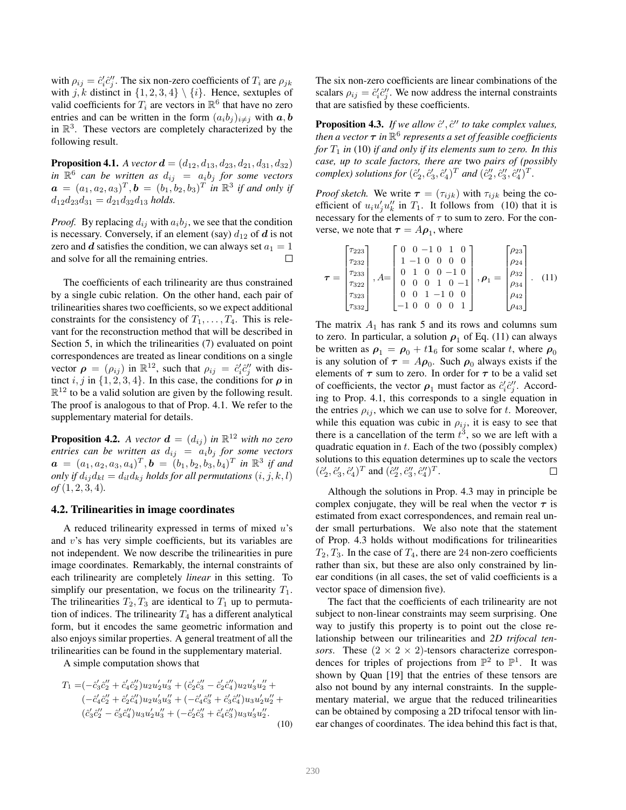with  $\rho_{ij} = \hat{c}'_i \hat{c}''_j$ . The six non-zero coefficients of  $T_i$  are  $\rho_{jk}$ with j, k distinct in  $\{1, 2, 3, 4\} \setminus \{i\}$ . Hence, sextuples of valid coefficients for  $T_i$  are vectors in  $\mathbb{R}^6$  that have no zero entries and can be written in the form  $(a_i b_j)_{i \neq j}$  with  $a, b$ in  $\mathbb{R}^3$ . These vectors are completely characterized by the following result.

**Proposition 4.1.** *A vector*  $\mathbf{d} = (d_{12}, d_{13}, d_{23}, d_{21}, d_{31}, d_{32})$ in  $\mathbb{R}^6$  can be written as  $d_{ij} = a_i b_j$  for some vectors  $\mathbf{a} = (a_1, a_2, a_3)^T, \mathbf{b} = (b_1, b_2, b_3)^T$  in  $\mathbb{R}^3$  if and only if  $d_{12}d_{23}d_{31} = d_{21}d_{32}d_{13}$  *holds.* 

*Proof.* By replacing  $d_{ij}$  with  $a_i b_j$ , we see that the condition is necessary. Conversely, if an element (say)  $d_{12}$  of d is not zero and d satisfies the condition, we can always set  $a_1 = 1$ and solve for all the remaining entries.  $\Box$ 

The coefficients of each trilinearity are thus constrained by a single cubic relation. On the other hand, each pair of trilinearities shares two coefficients, so we expect additional constraints for the consistency of  $T_1, \ldots, T_4$ . This is relevant for the reconstruction method that will be described in Section 5, in which the trilinearities (7) evaluated on point correspondences are treated as linear conditions on a single vector  $\rho = (\rho_{ij})$  in  $\mathbb{R}^{12}$ , such that  $\rho_{ij} = \hat{c}_i' \hat{c}_j''$  with distinct i, j in  $\{1, 2, 3, 4\}$ . In this case, the conditions for  $\rho$  in  $\mathbb{R}^{12}$  to be a valid solution are given by the following result. The proof is analogous to that of Prop. 4.1. We refer to the supplementary material for details.

**Proposition 4.2.** A vector  $\mathbf{d} = (d_{ij})$  in  $\mathbb{R}^{12}$  with no zero *entries can be written as*  $d_{ij} = a_i b_j$  *for some vectors*  $\boldsymbol{a} = (a_1, a_2, a_3, a_4)^T, \boldsymbol{b} = (b_1, b_2, b_3, b_4)^T$  in  $\mathbb{R}^3$  if and *only if*  $d_{ij}d_{kl} = d_{il}d_{kj}$  *holds for all permutations*  $(i, j, k, l)$ *of* (1, 2, 3, 4)*.*

#### 4.2. Trilinearities in image coordinates

A reduced trilinearity expressed in terms of mixed  $u$ 's and v's has very simple coefficients, but its variables are not independent. We now describe the trilinearities in pure image coordinates. Remarkably, the internal constraints of each trilinearity are completely *linear* in this setting. To simplify our presentation, we focus on the trilinearity  $T_1$ . The trilinearities  $T_2, T_3$  are identical to  $T_1$  up to permutation of indices. The trilinearity  $T_4$  has a different analytical form, but it encodes the same geometric information and also enjoys similar properties. A general treatment of all the trilinearities can be found in the supplementary material.

A simple computation shows that

$$
T_1 = (-\hat{c}'_3 \hat{c}''_2 + \hat{c}'_4 \hat{c}''_2) u_2 u'_2 u''_3 + (\hat{c}'_2 \hat{c}''_3 - \hat{c}'_2 \hat{c}''_4) u_2 u'_3 u''_2 +
$$
  
\n
$$
(-\hat{c}'_4 \hat{c}''_2 + \hat{c}'_2 \hat{c}''_4) u_2 u'_3 u''_3 + (-\hat{c}'_4 \hat{c}''_3 + \hat{c}'_3 \hat{c}''_4) u_3 u'_2 u''_2 +
$$
  
\n
$$
(\hat{c}'_3 \hat{c}''_2 - \hat{c}'_3 \hat{c}''_4) u_3 u'_2 u''_3 + (-\hat{c}'_2 \hat{c}''_3 + \hat{c}'_4 \hat{c}''_3) u_3 u'_3 u''_2.
$$
\n(10)

The six non-zero coefficients are linear combinations of the scalars  $\rho_{ij} = \hat{c}'_i \hat{c}''_j$ . We now address the internal constraints that are satisfied by these coefficients.

**Proposition 4.3.** If we allow  $\hat{c}'$ ,  $\hat{c}''$  to take complex values, *then a vector* τ *in* R 6 *represents a set of feasible coefficients for*  $T_1$  *in* (10) *if and only if its elements sum to zero. In this case, up to scale factors, there are* two *pairs of (possibly complex)* solutions for  $(\hat{c}'_2, \hat{c}'_3, \hat{c}'_4)^T$  and  $(\hat{c}''_2, \hat{c}''_3, \hat{c}''_4)^T$ .

*Proof sketch.* We write  $\tau = (\tau_{ijk})$  with  $\tau_{ijk}$  being the coefficient of  $u_i u'_j u''_k$  in  $T_1$ . It follows from (10) that it is necessary for the elements of  $\tau$  to sum to zero. For the converse, we note that  $\tau = A \rho_1$ , where

$$
\boldsymbol{\tau} = \begin{bmatrix} \tau_{223} \\ \tau_{232} \\ \tau_{233} \\ \tau_{322} \\ \tau_{332} \\ \tau_{332} \end{bmatrix}, A = \begin{bmatrix} 0 & 0 & -1 & 0 & 1 & 0 \\ 1 & -1 & 0 & 0 & 0 & 0 \\ 0 & 1 & 0 & 0 & -1 & 0 \\ 0 & 0 & 0 & 1 & 0 & -1 \\ 0 & 0 & 1 & -1 & 0 & 0 \\ -1 & 0 & 0 & 0 & 0 & 1 \end{bmatrix}, \boldsymbol{\rho}_1 = \begin{bmatrix} \rho_{23} \\ \rho_{24} \\ \rho_{32} \\ \rho_{43} \\ \rho_{42} \\ \rho_{43} \end{bmatrix}. (11)
$$

The matrix  $A_1$  has rank 5 and its rows and columns sum to zero. In particular, a solution  $\rho_1$  of Eq. (11) can always be written as  $\rho_1 = \rho_0 + t \mathbf{1}_6$  for some scalar t, where  $\rho_0$ is any solution of  $\tau = A\rho_0$ . Such  $\rho_0$  always exists if the elements of  $\tau$  sum to zero. In order for  $\tau$  to be a valid set of coefficients, the vector  $\rho_1$  must factor as  $\hat{c}'_i \hat{c}''_j$ . According to Prop. 4.1, this corresponds to a single equation in the entries  $\rho_{ij}$ , which we can use to solve for t. Moreover, while this equation was cubic in  $\rho_{ij}$ , it is easy to see that there is a cancellation of the term  $t^3$ , so we are left with a quadratic equation in  $t$ . Each of the two (possibly complex) solutions to this equation determines up to scale the vectors  $(\hat{c}_2', \hat{c}_3', \hat{c}_4')^T$  and  $(\hat{c}_2'', \hat{c}_3'', \hat{c}_4'')^T$ .  $\Box$ 

Although the solutions in Prop. 4.3 may in principle be complex conjugate, they will be real when the vector  $\tau$  is estimated from exact correspondences, and remain real under small perturbations. We also note that the statement of Prop. 4.3 holds without modifications for trilinearities  $T_2, T_3$ . In the case of  $T_4$ , there are 24 non-zero coefficients rather than six, but these are also only constrained by linear conditions (in all cases, the set of valid coefficients is a vector space of dimension five).

The fact that the coefficients of each trilinearity are not subject to non-linear constraints may seem surprising. One way to justify this property is to point out the close relationship between our trilinearities and *2D trifocal tensors*. These  $(2 \times 2 \times 2)$ -tensors characterize correspondences for triples of projections from  $\mathbb{P}^2$  to  $\mathbb{P}^1$ . It was shown by Quan [19] that the entries of these tensors are also not bound by any internal constraints. In the supplementary material, we argue that the reduced trilinearities can be obtained by composing a 2D trifocal tensor with linear changes of coordinates. The idea behind this fact is that,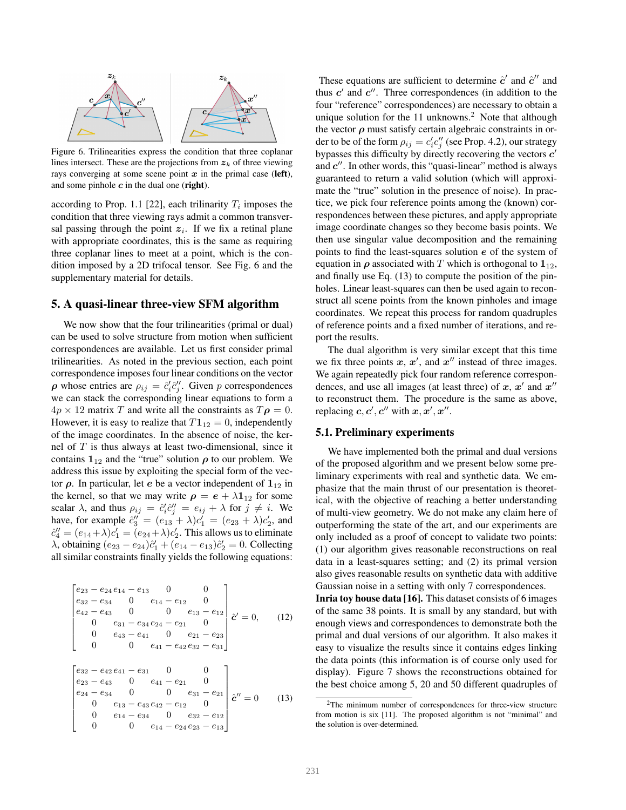

Figure 6. Trilinearities express the condition that three coplanar lines intersect. These are the projections from  $z_k$  of three viewing rays converging at some scene point  $x$  in the primal case (left), and some pinhole  $c$  in the dual one (right).

according to Prop. 1.1 [22], each trilinarity  $T_i$  imposes the condition that three viewing rays admit a common transversal passing through the point  $z_i$ . If we fix a retinal plane with appropriate coordinates, this is the same as requiring three coplanar lines to meet at a point, which is the condition imposed by a 2D trifocal tensor. See Fig. 6 and the supplementary material for details.

## 5. A quasi-linear three-view SFM algorithm

We now show that the four trilinearities (primal or dual) can be used to solve structure from motion when sufficient correspondences are available. Let us first consider primal trilinearities. As noted in the previous section, each point correspondence imposes four linear conditions on the vector  $\rho$  whose entries are  $\rho_{ij} = \hat{c}_i^i \hat{c}_j^j$ . Given p correspondences we can stack the corresponding linear equations to form a  $4p \times 12$  matrix T and write all the constraints as  $T\rho = 0$ . However, it is easy to realize that  $T1_{12} = 0$ , independently of the image coordinates. In the absence of noise, the kernel of  $T$  is thus always at least two-dimensional, since it contains  $1_{12}$  and the "true" solution  $\rho$  to our problem. We address this issue by exploiting the special form of the vector  $ρ$ . In particular, let *e* be a vector independent of  $1<sub>12</sub>$  in the kernel, so that we may write  $\rho = e + \lambda \mathbf{1}_{12}$  for some scalar  $\lambda$ , and thus  $\rho_{ij} = \hat{c}'_i \hat{c}''_j = e_{ij} + \lambda$  for  $j \neq i$ . We have, for example  $\hat{c}_3'' = (e_{13} + \lambda)c_1' = (e_{23} + \lambda)c_2'$ , and  $\hat{c}''_4 = (e_{14} + \lambda)c'_1 = (e_{24} + \lambda)c'_2$ . This allows us to eliminate  $\lambda$ , obtaining  $(e_{23} - e_{24})\hat{c}'_1 + (e_{14} - e_{13})\hat{c}'_2 = 0$ . Collecting all similar constraints finally yields the following equations:

$$
\begin{bmatrix}\n e_{23} - e_{24}e_{14} - e_{13} & 0 & 0 \\
e_{32} - e_{34} & 0 & e_{14} - e_{12} & 0 \\
e_{42} - e_{43} & 0 & 0 & e_{13} - e_{12} \\
0 & e_{31} - e_{34}e_{24} - e_{21} & 0 \\
0 & e_{43} - e_{41} & 0 & e_{21} - e_{23} \\
0 & 0 & e_{41} - e_{42}e_{32} - e_{31}\n\end{bmatrix}\n \begin{bmatrix}\n e_{23} - e_{42}e_{41} - e_{31} & 0 & 0 \\
e_{24} - e_{34} & 0 & e_{41} - e_{21} & 0 \\
0 & e_{13} - e_{43}e_{42} - e_{12} & 0 \\
0 & e_{14} - e_{34} & 0 & e_{32} - e_{12} \\
0 & 0 & e_{14} - e_{24}e_{23} - e_{13}\n\end{bmatrix}\n \begin{bmatrix}\n e' = 0 & (13) \\
e' = 0 & (13)\n\end{bmatrix}
$$

These equations are sufficient to determine  $\hat{c}'$  and  $\hat{c}''$  and thus  $c'$  and  $c''$ . Three correspondences (in addition to the four "reference" correspondences) are necessary to obtain a unique solution for the 11 unknowns.<sup>2</sup> Note that although the vector  $\rho$  must satisfy certain algebraic constraints in order to be of the form  $\rho_{ij} = c'_i c''_j$  (see Prop. 4.2), our strategy bypasses this difficulty by directly recovering the vectors  $c'$ and  $c''$ . In other words, this "quasi-linear" method is always guaranteed to return a valid solution (which will approximate the "true" solution in the presence of noise). In practice, we pick four reference points among the (known) correspondences between these pictures, and apply appropriate image coordinate changes so they become basis points. We then use singular value decomposition and the remaining points to find the least-squares solution  $e$  of the system of equation in  $\rho$  associated with T which is orthogonal to  $1_{12}$ , and finally use Eq. (13) to compute the position of the pinholes. Linear least-squares can then be used again to reconstruct all scene points from the known pinholes and image coordinates. We repeat this process for random quadruples of reference points and a fixed number of iterations, and report the results.

The dual algorithm is very similar except that this time we fix three points  $x, x'$ , and  $x''$  instead of three images. We again repeatedly pick four random reference correspondences, and use all images (at least three) of  $x, x'$  and  $x''$ to reconstruct them. The procedure is the same as above, replacing  $c, c', c''$  with  $x, x', x''$ .

## 5.1. Preliminary experiments

We have implemented both the primal and dual versions of the proposed algorithm and we present below some preliminary experiments with real and synthetic data. We emphasize that the main thrust of our presentation is theoretical, with the objective of reaching a better understanding of multi-view geometry. We do not make any claim here of outperforming the state of the art, and our experiments are only included as a proof of concept to validate two points: (1) our algorithm gives reasonable reconstructions on real data in a least-squares setting; and (2) its primal version also gives reasonable results on synthetic data with additive Gaussian noise in a setting with only 7 correspondences.

Inria toy house data [16]. This dataset consists of 6 images of the same 38 points. It is small by any standard, but with enough views and correspondences to demonstrate both the primal and dual versions of our algorithm. It also makes it easy to visualize the results since it contains edges linking the data points (this information is of course only used for display). Figure 7 shows the reconstructions obtained for the best choice among 5, 20 and 50 different quadruples of

<sup>2</sup>The minimum number of correspondences for three-view structure from motion is six [11]. The proposed algorithm is not "minimal" and the solution is over-determined.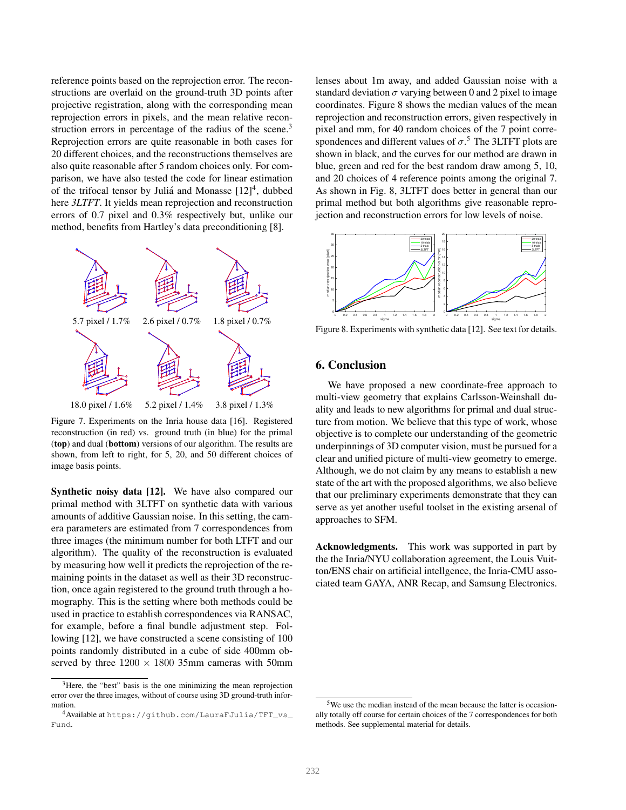reference points based on the reprojection error. The reconstructions are overlaid on the ground-truth 3D points after projective registration, along with the corresponding mean reprojection errors in pixels, and the mean relative reconstruction errors in percentage of the radius of the scene.<sup>3</sup> Reprojection errors are quite reasonable in both cases for 20 different choices, and the reconstructions themselves are also quite reasonable after 5 random choices only. For comparison, we have also tested the code for linear estimation of the trifocal tensor by Juliá and Monasse [12]<sup>4</sup>, dubbed here *3LTFT*. It yields mean reprojection and reconstruction errors of 0.7 pixel and 0.3% respectively but, unlike our method, benefits from Hartley's data preconditioning [8].



Figure 7. Experiments on the Inria house data [16]. Registered reconstruction (in red) vs. ground truth (in blue) for the primal (top) and dual (bottom) versions of our algorithm. The results are shown, from left to right, for 5, 20, and 50 different choices of image basis points.

Synthetic noisy data [12]. We have also compared our primal method with 3LTFT on synthetic data with various amounts of additive Gaussian noise. In this setting, the camera parameters are estimated from 7 correspondences from three images (the minimum number for both LTFT and our algorithm). The quality of the reconstruction is evaluated by measuring how well it predicts the reprojection of the remaining points in the dataset as well as their 3D reconstruction, once again registered to the ground truth through a homography. This is the setting where both methods could be used in practice to establish correspondences via RANSAC, for example, before a final bundle adjustment step. Following [12], we have constructed a scene consisting of 100 points randomly distributed in a cube of side 400mm observed by three  $1200 \times 1800$  35mm cameras with 50mm lenses about 1m away, and added Gaussian noise with a standard deviation  $\sigma$  varying between 0 and 2 pixel to image coordinates. Figure 8 shows the median values of the mean reprojection and reconstruction errors, given respectively in pixel and mm, for 40 random choices of the 7 point correspondences and different values of  $\sigma$ .<sup>5</sup> The 3LTFT plots are shown in black, and the curves for our method are drawn in blue, green and red for the best random draw among 5, 10, and 20 choices of 4 reference points among the original 7. As shown in Fig. 8, 3LTFT does better in general than our primal method but both algorithms give reasonable reprojection and reconstruction errors for low levels of noise.



Figure 8. Experiments with synthetic data [12]. See text for details.

## 6. Conclusion

We have proposed a new coordinate-free approach to multi-view geometry that explains Carlsson-Weinshall duality and leads to new algorithms for primal and dual structure from motion. We believe that this type of work, whose objective is to complete our understanding of the geometric underpinnings of 3D computer vision, must be pursued for a clear and unified picture of multi-view geometry to emerge. Although, we do not claim by any means to establish a new state of the art with the proposed algorithms, we also believe that our preliminary experiments demonstrate that they can serve as yet another useful toolset in the existing arsenal of approaches to SFM.

Acknowledgments. This work was supported in part by the the Inria/NYU collaboration agreement, the Louis Vuitton/ENS chair on artificial intellgence, the Inria-CMU associated team GAYA, ANR Recap, and Samsung Electronics.

<sup>&</sup>lt;sup>3</sup>Here, the "best" basis is the one minimizing the mean reprojection error over the three images, without of course using 3D ground-truth information.

<sup>4</sup>Available at https://github.com/LauraFJulia/TFT\_vs\_ Fund.

<sup>5</sup>We use the median instead of the mean because the latter is occasionally totally off course for certain choices of the 7 correspondences for both methods. See supplemental material for details.